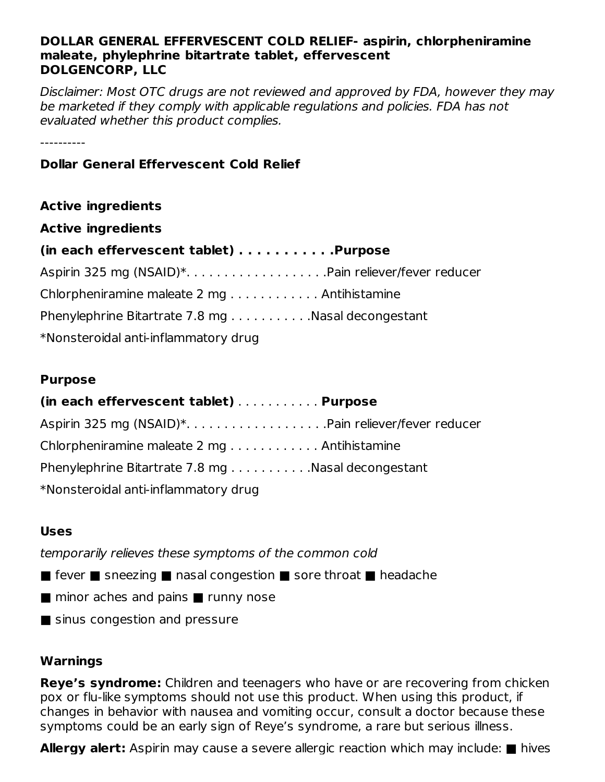#### **DOLLAR GENERAL EFFERVESCENT COLD RELIEF- aspirin, chlorpheniramine maleate, phylephrine bitartrate tablet, effervescent DOLGENCORP, LLC**

Disclaimer: Most OTC drugs are not reviewed and approved by FDA, however they may be marketed if they comply with applicable regulations and policies. FDA has not evaluated whether this product complies.

----------

## **Dollar General Effervescent Cold Relief**

| <b>Active ingredients</b>                          |
|----------------------------------------------------|
| <b>Active ingredients</b>                          |
| (in each effervescent tablet) Purpose              |
| Aspirin 325 mg (NSAID)*Pain reliever/fever reducer |
| Chlorpheniramine maleate 2 mg Antihistamine        |
| Phenylephrine Bitartrate 7.8 mg Nasal decongestant |
| *Nonsteroidal anti-inflammatory drug               |

#### **Purpose**

#### **(in each effervescent tablet)** . . . . . . . . . . . **Purpose**

| Chlorpheniramine maleate 2 mg Antihistamine        |  |
|----------------------------------------------------|--|
| Phenylephrine Bitartrate 7.8 mg Nasal decongestant |  |
| *Nonsteroidal anti-inflammatory drug               |  |

## **Uses**

temporarily relieves these symptoms of the common cold

- fever sneezing nasal congestion sore throat headache
- minor aches and pains runny nose
- sinus congestion and pressure

# **Warnings**

**Reye's syndrome:** Children and teenagers who have or are recovering from chicken pox or flu-like symptoms should not use this product. When using this product, if changes in behavior with nausea and vomiting occur, consult a doctor because these symptoms could be an early sign of Reye's syndrome, a rare but serious illness.

**Allergy alert:** Aspirin may cause a severe allergic reaction which may include: ■ hives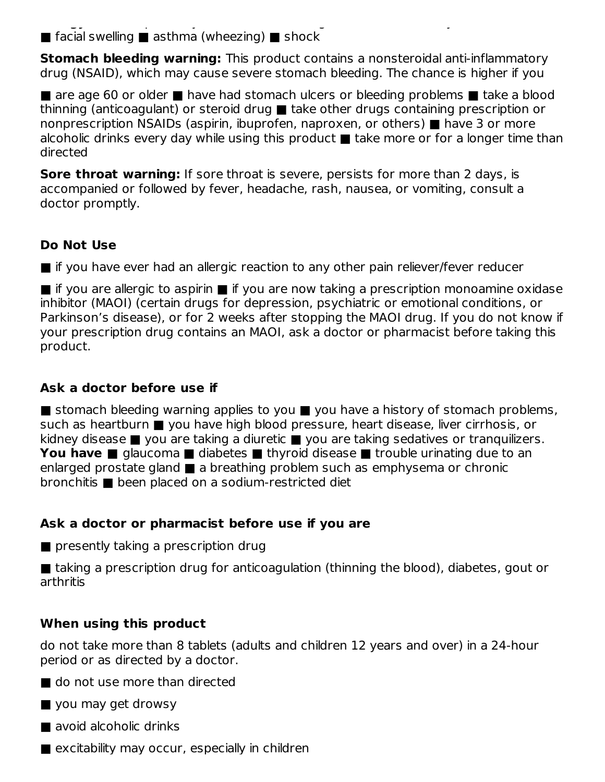**Allergy alert:** Aspirin may cause a severe allergic reaction which may include: ■ hives  $\blacksquare$  facial swelling  $\blacksquare$  asthma (wheezing)  $\blacksquare$  shock

**Stomach bleeding warning:** This product contains a nonsteroidal anti-inflammatory drug (NSAID), which may cause severe stomach bleeding. The chance is higher if you

■ are age 60 or older ■ have had stomach ulcers or bleeding problems ■ take a blood thinning (anticoagulant) or steroid drug ■ take other drugs containing prescription or nonprescription NSAIDs (aspirin, ibuprofen, naproxen, or others) ■ have 3 or more alcoholic drinks every day while using this product ■ take more or for a longer time than directed

**Sore throat warning:** If sore throat is severe, persists for more than 2 days, is accompanied or followed by fever, headache, rash, nausea, or vomiting, consult a doctor promptly.

# **Do Not Use**

■ if you have ever had an allergic reaction to any other pain reliever/fever reducer

■ if you are allergic to aspirin ■ if you are now taking a prescription monoamine oxidase inhibitor (MAOI) (certain drugs for depression, psychiatric or emotional conditions, or Parkinson's disease), or for 2 weeks after stopping the MAOI drug. If you do not know if your prescription drug contains an MAOI, ask a doctor or pharmacist before taking this product.

# **Ask a doctor before use if**

■ stomach bleeding warning applies to you ■ you have a history of stomach problems, such as heartburn ■ you have high blood pressure, heart disease, liver cirrhosis, or kidney disease ■ you are taking a diuretic ■ you are taking sedatives or tranquilizers. **You have ■** glaucoma ■ diabetes ■ thyroid disease ■ trouble urinating due to an enlarged prostate gland ■ a breathing problem such as emphysema or chronic bronchitis ■ been placed on a sodium-restricted diet

# **Ask a doctor or pharmacist before use if you are**

■ presently taking a prescription drug

■ taking a prescription drug for anticoagulation (thinning the blood), diabetes, gout or arthritis

# **When using this product**

do not take more than 8 tablets (adults and children 12 years and over) in a 24-hour period or as directed by a doctor.

■ do not use more than directed

■ you may get drowsy

■ avoid alcoholic drinks

 $\blacksquare$  excitability may occur, especially in children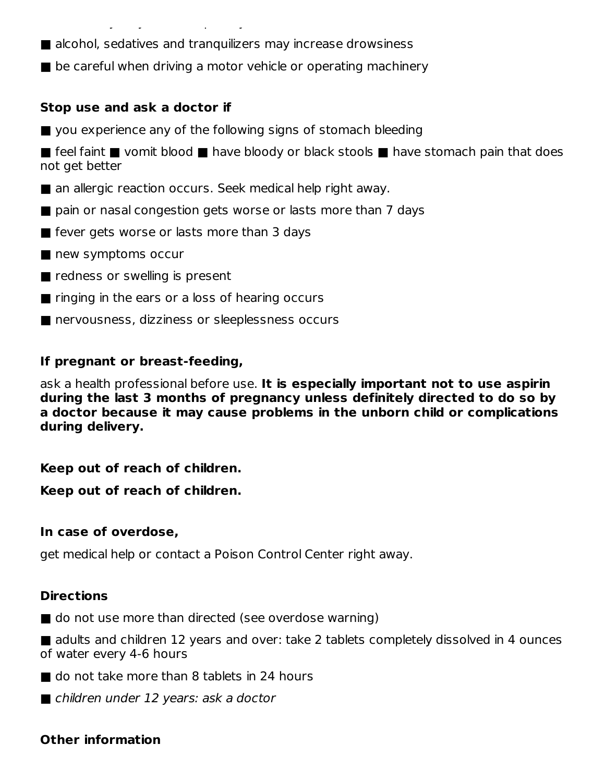■ alcohol, sedatives and tranquilizers may increase drowsiness

■ be careful when driving a motor vehicle or operating machinery

#### **Stop use and ask a doctor if**

■ you experience any of the following signs of stomach bleeding

■ feel faint ■ vomit blood ■ have bloody or black stools ■ have stomach pain that does not get better

- an allergic reaction occurs. Seek medical help right away.
- pain or nasal congestion gets worse or lasts more than 7 days
- fever gets worse or lasts more than 3 days

 $\mathbb{R}^n$  are children in children in children in children in children in children in children in children in children in children in children in children in children in children in children in children in children in ch

- new symptoms occur
- redness or swelling is present
- ringing in the ears or a loss of hearing occurs
- nervousness, dizziness or sleeplessness occurs

#### **If pregnant or breast-feeding,**

ask a health professional before use. **It is especially important not to use aspirin during the last 3 months of pregnancy unless definitely directed to do so by a doctor because it may cause problems in the unborn child or complications during delivery.**

#### **Keep out of reach of children.**

**Keep out of reach of children.**

#### **In case of overdose,**

get medical help or contact a Poison Control Center right away.

#### **Directions**

■ do not use more than directed (see overdose warning)

■ adults and children 12 years and over: take 2 tablets completely dissolved in 4 ounces of water every 4-6 hours

- do not take more than 8 tablets in 24 hours
- children under 12 years: ask a doctor

## **Other information**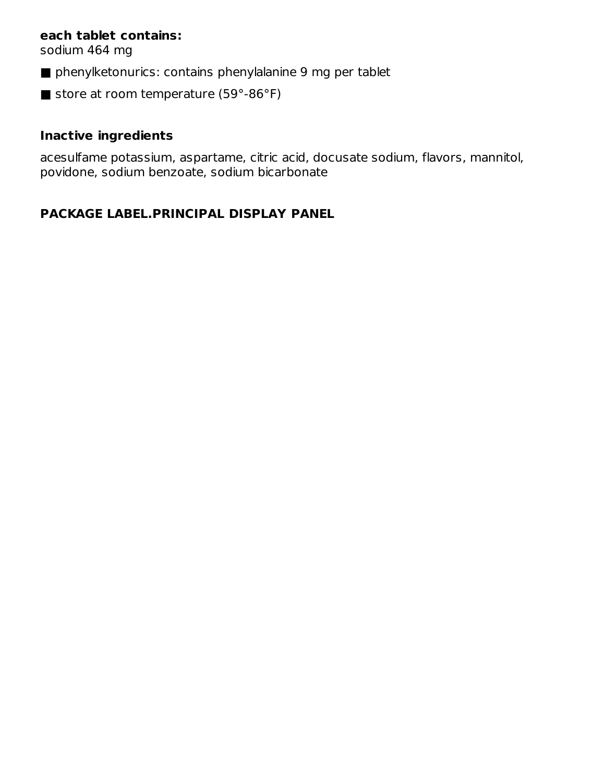#### **each tablet contains:**

sodium 464 mg

- phenylketonurics: contains phenylalanine 9 mg per tablet
- store at room temperature (59°-86°F)

# **Inactive ingredients**

acesulfame potassium, aspartame, citric acid, docusate sodium, flavors, mannitol, povidone, sodium benzoate, sodium bicarbonate

# **PACKAGE LABEL.PRINCIPAL DISPLAY PANEL**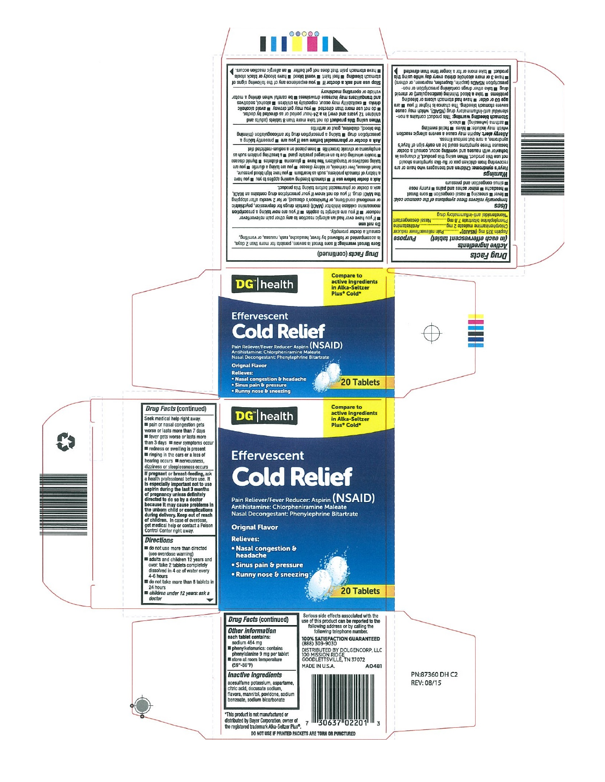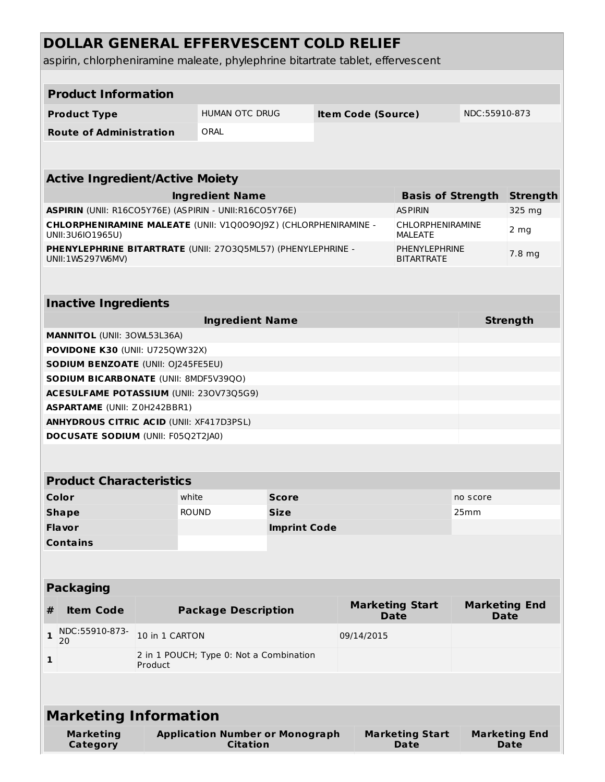# **DOLLAR GENERAL EFFERVESCENT COLD RELIEF**

aspirin, chlorpheniramine maleate, phylephrine bitartrate tablet, effervescent

|                                                                                     | <b>Product Information</b>                |                                         |                                                           |                                    |            |                                           |                                |                 |                                     |  |
|-------------------------------------------------------------------------------------|-------------------------------------------|-----------------------------------------|-----------------------------------------------------------|------------------------------------|------------|-------------------------------------------|--------------------------------|-----------------|-------------------------------------|--|
|                                                                                     | <b>Product Type</b>                       |                                         | <b>HUMAN OTC DRUG</b>                                     |                                    |            | <b>Item Code (Source)</b>                 |                                | NDC:55910-873   |                                     |  |
|                                                                                     | <b>Route of Administration</b>            |                                         | ORAL                                                      |                                    |            |                                           |                                |                 |                                     |  |
|                                                                                     |                                           |                                         |                                                           |                                    |            |                                           |                                |                 |                                     |  |
|                                                                                     |                                           |                                         |                                                           |                                    |            |                                           |                                |                 |                                     |  |
| <b>Active Ingredient/Active Moiety</b>                                              |                                           |                                         |                                                           |                                    |            |                                           |                                |                 |                                     |  |
| <b>Ingredient Name</b>                                                              |                                           |                                         |                                                           |                                    |            | <b>Basis of Strength</b>                  | <b>Strength</b>                |                 |                                     |  |
| ASPIRIN (UNII: R16CO5Y76E) (ASPIRIN - UNII:R16CO5Y76E)                              |                                           |                                         |                                                           |                                    |            | <b>ASPIRIN</b>                            | 325 mg                         |                 |                                     |  |
| CHLORPHENIRAMINE MALEATE (UNII: V1Q0090J9Z) (CHLORPHENIRAMINE -<br>UNII:3U6IO1965U) |                                           |                                         |                                                           |                                    |            | <b>CHLORPHENIRAMINE</b><br><b>MALEATE</b> | 2 <sub>mg</sub>                |                 |                                     |  |
| PHENYLEPHRINE BITARTRATE (UNII: 2703Q5ML57) (PHENYLEPHRINE -<br>UNII: 1WS 297W6MV)  |                                           |                                         |                                                           | PHENYLEPHRINE<br><b>BITARTRATE</b> |            |                                           |                                | 7.8 mg          |                                     |  |
|                                                                                     |                                           |                                         |                                                           |                                    |            |                                           |                                |                 |                                     |  |
| <b>Inactive Ingredients</b>                                                         |                                           |                                         |                                                           |                                    |            |                                           |                                |                 |                                     |  |
|                                                                                     |                                           |                                         | <b>Ingredient Name</b>                                    |                                    |            |                                           |                                | <b>Strength</b> |                                     |  |
|                                                                                     | <b>MANNITOL (UNII: 30WL53L36A)</b>        |                                         |                                                           |                                    |            |                                           |                                |                 |                                     |  |
|                                                                                     | POVIDONE K30 (UNII: U725QWY32X)           |                                         |                                                           |                                    |            |                                           |                                |                 |                                     |  |
|                                                                                     | <b>SODIUM BENZOATE (UNII: OJ245FE5EU)</b> |                                         |                                                           |                                    |            |                                           |                                |                 |                                     |  |
|                                                                                     | SODIUM BICARBONATE (UNII: 8MDF5V39QO)     |                                         |                                                           |                                    |            |                                           |                                |                 |                                     |  |
|                                                                                     | ACESULFAME POTASSIUM (UNII: 230V73Q5G9)   |                                         |                                                           |                                    |            |                                           |                                |                 |                                     |  |
|                                                                                     | <b>ASPARTAME (UNII: Z0H242BBR1)</b>       |                                         |                                                           |                                    |            |                                           |                                |                 |                                     |  |
| <b>ANHYDROUS CITRIC ACID (UNII: XF417D3PSL)</b>                                     |                                           |                                         |                                                           |                                    |            |                                           |                                |                 |                                     |  |
|                                                                                     | <b>DOCUSATE SODIUM (UNII: F05Q2T2JA0)</b> |                                         |                                                           |                                    |            |                                           |                                |                 |                                     |  |
|                                                                                     |                                           |                                         |                                                           |                                    |            |                                           |                                |                 |                                     |  |
| <b>Product Characteristics</b>                                                      |                                           |                                         |                                                           |                                    |            |                                           |                                |                 |                                     |  |
|                                                                                     | Color                                     |                                         | white                                                     | <b>Score</b>                       |            |                                           |                                | no score        |                                     |  |
|                                                                                     | <b>Shape</b>                              |                                         | <b>ROUND</b>                                              | <b>Size</b>                        |            |                                           |                                | 25mm            |                                     |  |
|                                                                                     | <b>Flavor</b>                             |                                         |                                                           | <b>Imprint Code</b>                |            |                                           |                                |                 |                                     |  |
|                                                                                     | <b>Contains</b>                           |                                         |                                                           |                                    |            |                                           |                                |                 |                                     |  |
|                                                                                     |                                           |                                         |                                                           |                                    |            |                                           |                                |                 |                                     |  |
|                                                                                     |                                           |                                         |                                                           |                                    |            |                                           |                                |                 |                                     |  |
|                                                                                     | <b>Packaging</b>                          |                                         |                                                           |                                    |            |                                           |                                |                 |                                     |  |
| #                                                                                   | <b>Item Code</b>                          |                                         | <b>Package Description</b>                                |                                    |            |                                           | <b>Marketing Start</b><br>Date |                 | <b>Marketing End</b><br><b>Date</b> |  |
| $\mathbf{1}$                                                                        | NDC:55910-873-<br>20                      | 10 in 1 CARTON                          |                                                           |                                    | 09/14/2015 |                                           |                                |                 |                                     |  |
| $\mathbf{1}$                                                                        |                                           | 2 in 1 POUCH; Type 0: Not a Combination |                                                           |                                    |            |                                           |                                |                 |                                     |  |
|                                                                                     | Product                                   |                                         |                                                           |                                    |            |                                           |                                |                 |                                     |  |
|                                                                                     |                                           |                                         |                                                           |                                    |            |                                           |                                |                 |                                     |  |
|                                                                                     | <b>Marketing Information</b>              |                                         |                                                           |                                    |            |                                           |                                |                 |                                     |  |
|                                                                                     | <b>Marketing</b><br>Category              |                                         | <b>Application Number or Monograph</b><br><b>Citation</b> |                                    |            |                                           | <b>Marketing Start</b><br>Date |                 | <b>Marketing End</b><br><b>Date</b> |  |
|                                                                                     |                                           |                                         |                                                           |                                    |            |                                           |                                |                 |                                     |  |